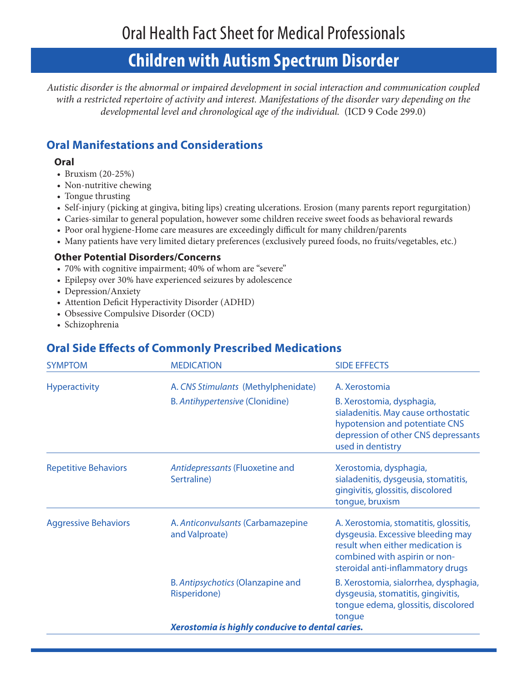# **Children with Autism Spectrum Disorder**

*Autistic disorder is the abnormal or impaired development in social interaction and communication coupled with a restricted repertoire of activity and interest. Manifestations of the disorder vary depending on the developmental level and chronological age of the individual.* (ICD 9 Code 299.0)

## **Oral Manifestations and Considerations**

### **Oral**

- Bruxism (20-25%) •
- Non-nutritive chewing
- Tongue thrusting
- Self-injury (picking at gingiva, biting lips) creating ulcerations. Erosion (many parents report regurgitation)
- Caries-similar to general population, however some children receive sweet foods as behavioral rewards •
- Poor oral hygiene-Home care measures are exceedingly difficult for many children/parents •
- Many patients have very limited dietary preferences (exclusively pureed foods, no fruits/vegetables, etc.) •

### **Other Potential Disorders/Concerns**

- 70% with cognitive impairment; 40% of whom are "severe" •
- Epilepsy over 30% have experienced seizures by adolescence •
- Depression/Anxiety •
- Attention Deficit Hyperactivity Disorder (ADHD) •
- Obsessive Compulsive Disorder (OCD)
- Schizophrenia

## **Oral Side Effects of Commonly Prescribed Medications**

| <b>SYMPTOM</b>              | <b>MEDICATION</b>                                   | <b>SIDE EFFECTS</b>                                                                                                                                                                  |
|-----------------------------|-----------------------------------------------------|--------------------------------------------------------------------------------------------------------------------------------------------------------------------------------------|
| <b>Hyperactivity</b>        | A. CNS Stimulants (Methylphenidate)                 | A. Xerostomia                                                                                                                                                                        |
|                             | B. Antihypertensive (Clonidine)                     | B. Xerostomia, dysphagia,<br>sialadenitis. May cause orthostatic<br>hypotension and potentiate CNS<br>depression of other CNS depressants<br>used in dentistry                       |
| <b>Repetitive Behaviors</b> | Antidepressants (Fluoxetine and<br>Sertraline)      | Xerostomia, dysphagia,<br>sialadenitis, dysgeusia, stomatitis,<br>gingivitis, glossitis, discolored<br>tongue, bruxism                                                               |
| <b>Aggressive Behaviors</b> | A. Anticonvulsants (Carbamazepine<br>and Valproate) | A. Xerostomia, stomatitis, glossitis,<br>dysgeusia. Excessive bleeding may<br>result when either medication is<br>combined with aspirin or non-<br>steroidal anti-inflammatory drugs |
|                             | B. Antipsychotics (Olanzapine and<br>Risperidone)   | B. Xerostomia, sialorrhea, dysphagia,<br>dysgeusia, stomatitis, gingivitis,<br>tongue edema, glossitis, discolored<br>tongue                                                         |
|                             | Xerostomia is highly conducive to dental caries.    |                                                                                                                                                                                      |